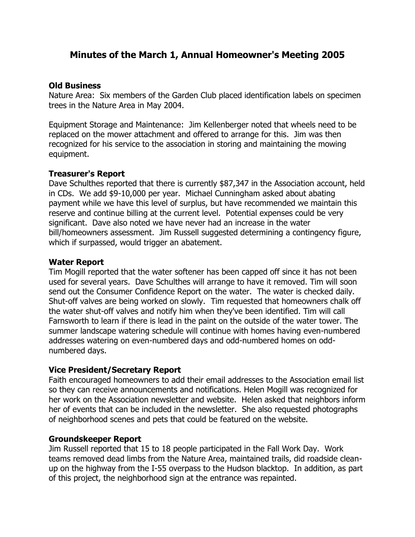# **Minutes of the March 1, Annual Homeowner's Meeting 2005**

### **Old Business**

Nature Area: Six members of the Garden Club placed identification labels on specimen trees in the Nature Area in May 2004.

Equipment Storage and Maintenance: Jim Kellenberger noted that wheels need to be replaced on the mower attachment and offered to arrange for this. Jim was then recognized for his service to the association in storing and maintaining the mowing equipment.

## **Treasurer's Report**

Dave Schulthes reported that there is currently \$87,347 in the Association account, held in CDs. We add \$9-10,000 per year. Michael Cunningham asked about abating payment while we have this level of surplus, but have recommended we maintain this reserve and continue billing at the current level. Potential expenses could be very significant. Dave also noted we have never had an increase in the water bill/homeowners assessment. Jim Russell suggested determining a contingency figure, which if surpassed, would trigger an abatement.

## **Water Report**

Tim Mogill reported that the water softener has been capped off since it has not been used for several years. Dave Schulthes will arrange to have it removed. Tim will soon send out the Consumer Confidence Report on the water. The water is checked daily. Shut-off valves are being worked on slowly. Tim requested that homeowners chalk off the water shut-off valves and notify him when they've been identified. Tim will call Farnsworth to learn if there is lead in the paint on the outside of the water tower. The summer landscape watering schedule will continue with homes having even-numbered addresses watering on even-numbered days and odd-numbered homes on oddnumbered days.

## **Vice President/Secretary Report**

Faith encouraged homeowners to add their email addresses to the Association email list so they can receive announcements and notifications. Helen Mogill was recognized for her work on the Association newsletter and website. Helen asked that neighbors inform her of events that can be included in the newsletter. She also requested photographs of neighborhood scenes and pets that could be featured on the website.

#### **Groundskeeper Report**

Jim Russell reported that 15 to 18 people participated in the Fall Work Day. Work teams removed dead limbs from the Nature Area, maintained trails, did roadside cleanup on the highway from the I-55 overpass to the Hudson blacktop. In addition, as part of this project, the neighborhood sign at the entrance was repainted.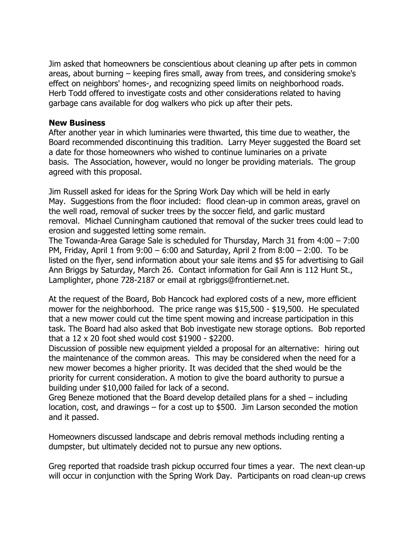Jim asked that homeowners be conscientious about cleaning up after pets in common areas, about burning – keeping fires small, away from trees, and considering smoke's effect on neighbors' homes-, and recognizing speed limits on neighborhood roads. Herb Todd offered to investigate costs and other considerations related to having garbage cans available for dog walkers who pick up after their pets.

### **New Business**

After another year in which luminaries were thwarted, this time due to weather, the Board recommended discontinuing this tradition. Larry Meyer suggested the Board set a date for those homeowners who wished to continue luminaries on a private basis. The Association, however, would no longer be providing materials. The group agreed with this proposal.

Jim Russell asked for ideas for the Spring Work Day which will be held in early May. Suggestions from the floor included: flood clean-up in common areas, gravel on the well road, removal of sucker trees by the soccer field, and garlic mustard removal. Michael Cunningham cautioned that removal of the sucker trees could lead to erosion and suggested letting some remain.

The Towanda-Area Garage Sale is scheduled for Thursday, March 31 from 4:00 – 7:00 PM, Friday, April 1 from 9:00 – 6:00 and Saturday, April 2 from 8:00 – 2:00. To be listed on the flyer, send information about your sale items and \$5 for advertising to Gail Ann Briggs by Saturday, March 26. Contact information for Gail Ann is 112 Hunt St., Lamplighter, phone 728-2187 or email at rgbriggs@frontiernet.net.

At the request of the Board, Bob Hancock had explored costs of a new, more efficient mower for the neighborhood. The price range was \$15,500 - \$19,500. He speculated that a new mower could cut the time spent mowing and increase participation in this task. The Board had also asked that Bob investigate new storage options. Bob reported that a 12 x 20 foot shed would cost \$1900 - \$2200.

Discussion of possible new equipment yielded a proposal for an alternative: hiring out the maintenance of the common areas. This may be considered when the need for a new mower becomes a higher priority. It was decided that the shed would be the priority for current consideration. A motion to give the board authority to pursue a building under \$10,000 failed for lack of a second.

Greg Beneze motioned that the Board develop detailed plans for a shed – including location, cost, and drawings – for a cost up to \$500. Jim Larson seconded the motion and it passed.

Homeowners discussed landscape and debris removal methods including renting a dumpster, but ultimately decided not to pursue any new options.

Greg reported that roadside trash pickup occurred four times a year. The next clean-up will occur in conjunction with the Spring Work Day. Participants on road clean-up crews